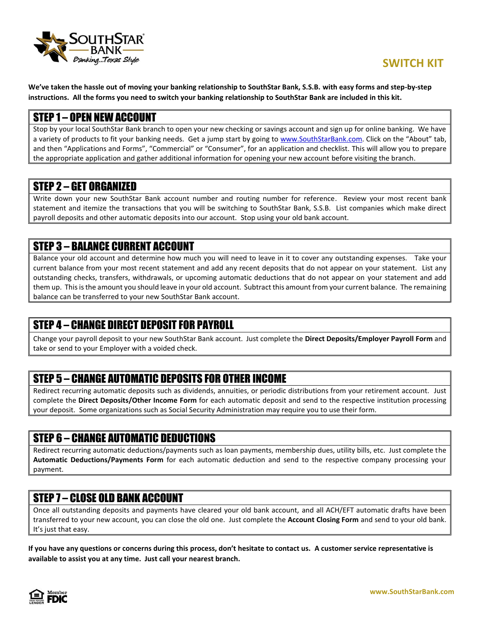

**We've taken the hassle out of moving your banking relationship to SouthStar Bank, S.S.B. with easy forms and step-by-step instructions. All the forms you need to switch your banking relationship to SouthStar Bank are included in this kit.**

### STEP 1 – OPEN NEW ACCOUNT

Stop by your local SouthStar Bank branch to open your new checking or savings account and sign up for online banking. We have a variety of products to fit your banking needs. Get a jump start by going to [www.SouthStarBank.com.](http://www.southstarbank.com/) Click on the "About" tab, and then "Applications and Forms", "Commercial" or "Consumer", for an application and checklist. This will allow you to prepare the appropriate application and gather additional information for opening your new account before visiting the branch.

### STEP 2 – GET ORGANIZED

Write down your new SouthStar Bank account number and routing number for reference. Review your most recent bank statement and itemize the transactions that you will be switching to SouthStar Bank, S.S.B. List companies which make direct payroll deposits and other automatic deposits into our account. Stop using your old bank account.

# STEP 3 – BALANCE CURRENT ACCOUNT

Balance your old account and determine how much you will need to leave in it to cover any outstanding expenses. Take your current balance from your most recent statement and add any recent deposits that do not appear on your statement. List any outstanding checks, transfers, withdrawals, or upcoming automatic deductions that do not appear on your statement and add them up. This is the amount you should leave in your old account. Subtract this amount from your current balance. The remaining balance can be transferred to your new SouthStar Bank account.

# STEP 4 – CHANGE DIRECT DEPOSIT FOR PAYROLL

Change your payroll deposit to your new SouthStar Bank account. Just complete the **Direct Deposits/Employer Payroll Form** and take or send to your Employer with a voided check.

# STEP 5 – CHANGE AUTOMATIC DEPOSITS FOR OTHER INCOME

Redirect recurring automatic deposits such as dividends, annuities, or periodic distributions from your retirement account. Just complete the **Direct Deposits/Other Income Form** for each automatic deposit and send to the respective institution processing your deposit. Some organizations such as Social Security Administration may require you to use their form.

# STEP 6 – CHANGE AUTOMATIC DEDUCTIONS

Redirect recurring automatic deductions/payments such as loan payments, membership dues, utility bills, etc. Just complete the **Automatic Deductions/Payments Form** for each automatic deduction and send to the respective company processing your payment.

# STEP 7 – CLOSE OLD BANK ACCOUNT

Once all outstanding deposits and payments have cleared your old bank account, and all ACH/EFT automatic drafts have been transferred to your new account, you can close the old one. Just complete the **Account Closing Form** and send to your old bank. It's just that easy.

**If you have any questions or concerns during this process, don't hesitate to contact us. A customer service representative is available to assist you at any time. Just call your nearest branch.**

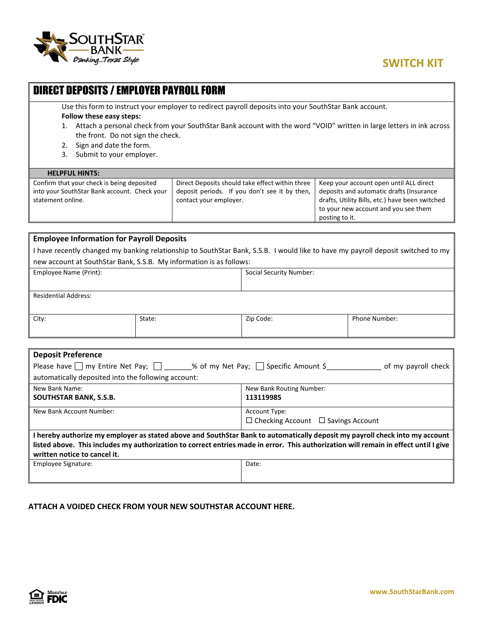

# **SWITCH KIT**

| <b>DIRECT DEPOSITS / EMPLOYER PAYROLL FORM</b>                                                                                                                                                                                                                                                                                                                     |                                                                                                                            |                                                                                                                                                                                                  |
|--------------------------------------------------------------------------------------------------------------------------------------------------------------------------------------------------------------------------------------------------------------------------------------------------------------------------------------------------------------------|----------------------------------------------------------------------------------------------------------------------------|--------------------------------------------------------------------------------------------------------------------------------------------------------------------------------------------------|
| Use this form to instruct your employer to redirect payroll deposits into your SouthStar Bank account.<br>Follow these easy steps:<br>Attach a personal check from your SouthStar Bank account with the word "VOID" written in large letters in ink across<br>the front. Do not sign the check.<br>Sign and date the form.<br>2.<br>Submit to your employer.<br>3. |                                                                                                                            |                                                                                                                                                                                                  |
| <b>HELPFUL HINTS:</b>                                                                                                                                                                                                                                                                                                                                              |                                                                                                                            |                                                                                                                                                                                                  |
| Confirm that your check is being deposited<br>into your SouthStar Bank account. Check your<br>statement online.                                                                                                                                                                                                                                                    | Direct Deposits should take effect within three<br>deposit periods. If you don't see it by then,<br>contact your employer. | Keep your account open until ALL direct<br>deposits and automatic drafts (Insurance<br>drafts, Utility Bills, etc.) have been switched<br>to your new account and you see them<br>posting to it. |
| <b>Employee Information for Payroll Deposits</b>                                                                                                                                                                                                                                                                                                                   |                                                                                                                            |                                                                                                                                                                                                  |
|                                                                                                                                                                                                                                                                                                                                                                    |                                                                                                                            |                                                                                                                                                                                                  |

I have recently changed my banking relationship to SouthStar Bank, S.S.B. I would like to have my payroll deposit switched to my new account at SouthStar Bank, S.S.B. My information is as follows:

| Employee Name (Print):      |        | <b>Social Security Number:</b> |                      |
|-----------------------------|--------|--------------------------------|----------------------|
| <b>Residential Address:</b> |        |                                |                      |
| City:                       | State: | Zip Code:                      | <b>Phone Number:</b> |

| <b>Deposit Preference</b>                                                                                                            |                                                |  |
|--------------------------------------------------------------------------------------------------------------------------------------|------------------------------------------------|--|
| Please have $\Box$ my Entire Net Pay; $\Box$ 2% of my Net Pay; $\Box$ Specific Amount \$<br>of my payroll check                      |                                                |  |
| automatically deposited into the following account:                                                                                  |                                                |  |
| New Bank Name:                                                                                                                       | New Bank Routing Number:                       |  |
| <b>SOUTHSTAR BANK, S.S.B.</b>                                                                                                        | 113119985                                      |  |
| New Bank Account Number:                                                                                                             | Account Type:                                  |  |
|                                                                                                                                      | $\Box$ Checking Account $\Box$ Savings Account |  |
| I hereby authorize my employer as stated above and SouthStar Bank to automatically deposit my payroll check into my account          |                                                |  |
| listed above. This includes my authorization to correct entries made in error. This authorization will remain in effect until I give |                                                |  |
| written notice to cancel it.                                                                                                         |                                                |  |
| Employee Signature:                                                                                                                  | Date:                                          |  |
|                                                                                                                                      |                                                |  |
|                                                                                                                                      |                                                |  |

**ATTACH A VOIDED CHECK FROM YOUR NEW SOUTHSTAR ACCOUNT HERE.**

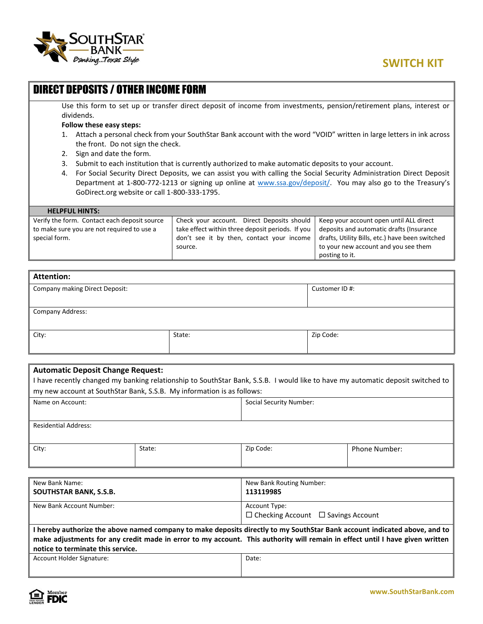

| <b>DIRECT DEPOSITS / OTHER INCOME FORM</b>                                                                                  |  |                                                                                                                      |                                                 |
|-----------------------------------------------------------------------------------------------------------------------------|--|----------------------------------------------------------------------------------------------------------------------|-------------------------------------------------|
|                                                                                                                             |  | Use this form to set up or transfer direct deposit of income from investments, pension/retirement plans, interest or |                                                 |
| dividends.                                                                                                                  |  |                                                                                                                      |                                                 |
| Follow these easy steps:                                                                                                    |  |                                                                                                                      |                                                 |
| 1.                                                                                                                          |  | Attach a personal check from your SouthStar Bank account with the word "VOID" written in large letters in ink across |                                                 |
| the front. Do not sign the check.                                                                                           |  |                                                                                                                      |                                                 |
| Sign and date the form.<br>2.                                                                                               |  |                                                                                                                      |                                                 |
| 3.<br>Submit to each institution that is currently authorized to make automatic deposits to your account.                   |  |                                                                                                                      |                                                 |
| For Social Security Direct Deposits, we can assist you with calling the Social Security Administration Direct Deposit<br>4. |  |                                                                                                                      |                                                 |
| Department at 1-800-772-1213 or signing up online at www.ssa.gov/deposit/. You may also go to the Treasury's                |  |                                                                                                                      |                                                 |
| GoDirect.org website or call 1-800-333-1795.                                                                                |  |                                                                                                                      |                                                 |
|                                                                                                                             |  |                                                                                                                      |                                                 |
| <b>HELPFUL HINTS:</b>                                                                                                       |  |                                                                                                                      |                                                 |
| Verify the form. Contact each deposit source                                                                                |  | Check your account. Direct Deposits should                                                                           | Keep your account open until ALL direct         |
| to make sure you are not required to use a                                                                                  |  | take effect within three deposit periods. If you                                                                     | deposits and automatic drafts (Insurance        |
| special form.                                                                                                               |  | don't see it by then, contact your income                                                                            | drafts, Utility Bills, etc.) have been switched |
|                                                                                                                             |  | source.                                                                                                              | to your new account and you see them            |
|                                                                                                                             |  |                                                                                                                      | posting to it.                                  |

| <b>Attention:</b>                     |        |                |  |
|---------------------------------------|--------|----------------|--|
| <b>Company making Direct Deposit:</b> |        | Customer ID #: |  |
|                                       |        |                |  |
| <b>Company Address:</b>               |        |                |  |
|                                       |        |                |  |
| City:                                 | State: | Zip Code:      |  |
|                                       |        |                |  |

| <b>Automatic Deposit Change Request:</b><br>have recently changed my banking relationship to SouthStar Bank, S.S.B. I would like to have my automatic deposit switched to<br>my new account at SouthStar Bank, S.S.B. My information is as follows: |        |                                |                      |
|-----------------------------------------------------------------------------------------------------------------------------------------------------------------------------------------------------------------------------------------------------|--------|--------------------------------|----------------------|
| Name on Account:                                                                                                                                                                                                                                    |        | <b>Social Security Number:</b> |                      |
| <b>Residential Address:</b>                                                                                                                                                                                                                         |        |                                |                      |
| City:                                                                                                                                                                                                                                               | State: | Zip Code:                      | <b>Phone Number:</b> |

| New Bank Name:                                                                                                               | New Bank Routing Number:                       |  |
|------------------------------------------------------------------------------------------------------------------------------|------------------------------------------------|--|
| <b>SOUTHSTAR BANK, S.S.B.</b>                                                                                                | 113119985                                      |  |
| New Bank Account Number:                                                                                                     | Account Type:                                  |  |
|                                                                                                                              | $\Box$ Checking Account $\Box$ Savings Account |  |
| I hereby authorize the above named company to make deposits directly to my SouthStar Bank account indicated above, and to    |                                                |  |
| make adjustments for any credit made in error to my account. This authority will remain in effect until I have given written |                                                |  |
| notice to terminate this service.                                                                                            |                                                |  |
| Account Holder Signature:                                                                                                    | Date:                                          |  |
|                                                                                                                              |                                                |  |

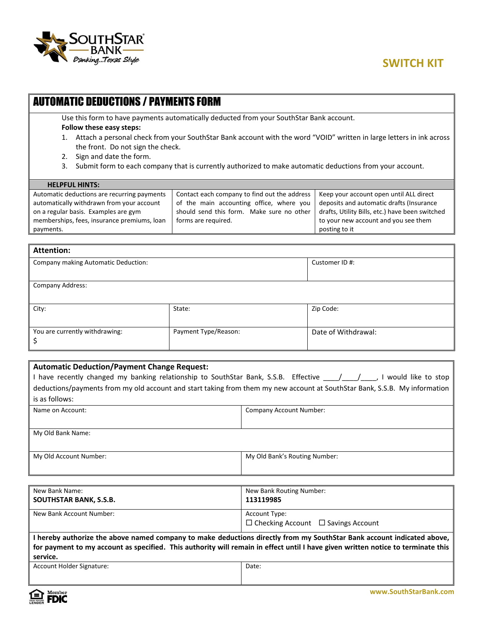

### AUTOMATIC DEDUCTIONS / PAYMENTS FORM

Use this form to have payments automatically deducted from your SouthStar Bank account.

#### **Follow these easy steps:**

- 1. Attach a personal check from your SouthStar Bank account with the word "VOID" written in large letters in ink across the front. Do not sign the check.
- 2. Sign and date the form.
- 3. Submit form to each company that is currently authorized to make automatic deductions from your account.

### **HELPFUL HINTS:**

| Automatic deductions are recurring payments | Contact each company to find out the address   Keep your account open until ALL direct |                                                 |
|---------------------------------------------|----------------------------------------------------------------------------------------|-------------------------------------------------|
| automatically withdrawn from your account   | of the main accounting office, where you                                               | deposits and automatic drafts (Insurance        |
| on a regular basis. Examples are gym        | should send this form. Make sure no other                                              | drafts, Utility Bills, etc.) have been switched |
| memberships, fees, insurance premiums, loan | forms are required.                                                                    | to your new account and you see them            |
| payments.                                   |                                                                                        | posting to it                                   |

### **Attention:**

| Company making Automatic Deduction: |                      | Customer ID #:      |
|-------------------------------------|----------------------|---------------------|
|                                     |                      |                     |
| Company Address:                    |                      |                     |
| City:                               | State:               | Zip Code:           |
| You are currently withdrawing:      | Payment Type/Reason: | Date of Withdrawal: |

# **Automatic Deduction/Payment Change Request:** I have recently changed my banking relationship to SouthStar Bank, S.S.B. Effective \_\_\_\_/\_\_\_\_/\_\_\_\_, I would like to stop deductions/payments from my old account and start taking from them my new account at SouthStar Bank, S.S.B. My information is as follows: Name on Account: Company Account Number: My Old Bank Name: My Old Account Number: My Old Bank's Routing Number:

| New Bank Routing Number:                                                                                                         |  |  |
|----------------------------------------------------------------------------------------------------------------------------------|--|--|
| 113119985                                                                                                                        |  |  |
| Account Type:                                                                                                                    |  |  |
| $\Box$ Checking Account $\Box$ Savings Account                                                                                   |  |  |
| I hereby authorize the above named company to make deductions directly from my SouthStar Bank account indicated above,           |  |  |
| for payment to my account as specified. This authority will remain in effect until I have given written notice to terminate this |  |  |
|                                                                                                                                  |  |  |
| Date:                                                                                                                            |  |  |
|                                                                                                                                  |  |  |
|                                                                                                                                  |  |  |